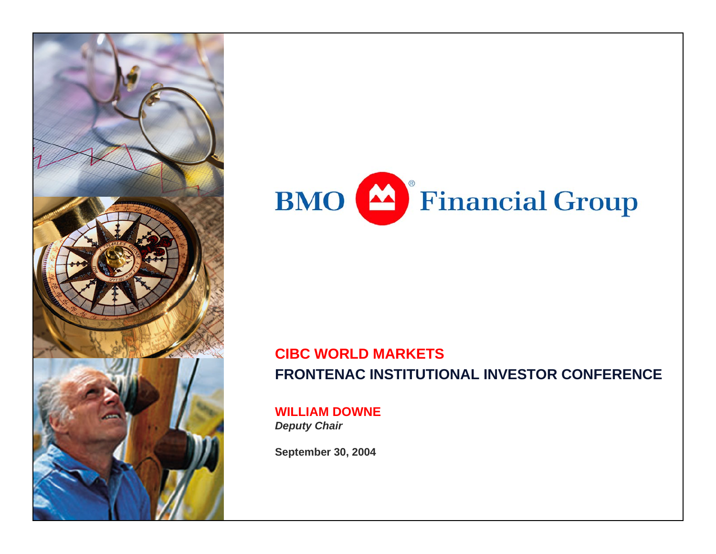



#### **CIBC WORLD MARKETS FRONTENAC INSTITUTIONAL INVESTOR CONFERENCE**

**WILLIAM DOWNE***Deputy Chair*

**September 30, 2004**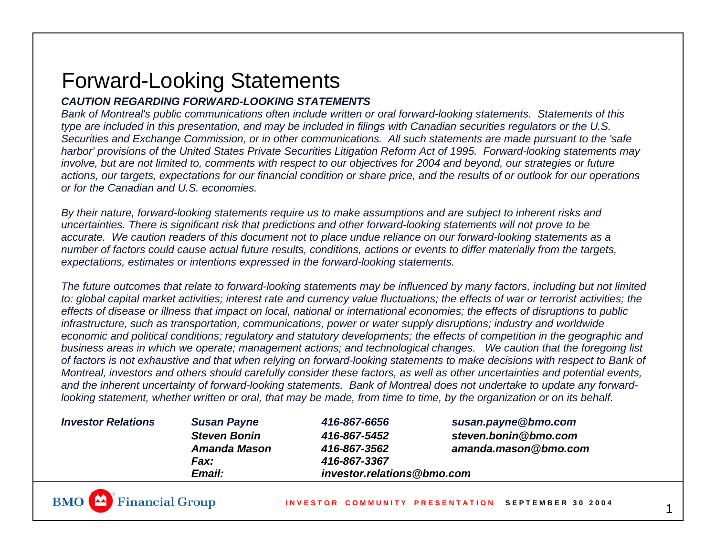# Forward-Looking Statements

#### *CAUTION REGARDING FORWARD-LOOKING STATEMENTS*

*Bank of Montreal's public communications often include written or oral forward-looking statements. Statements of this type are included in this presentation, and may be included in filings with Canadian securities regulators or the U.S. Securities and Exchange Commission, or in other communications. All such statements are made pursuant to the 'safe harbor' provisions of the United States Private Securities Litigation Reform Act of 1995. Forward-looking statements may involve, but are not limited to, comments with respect to our objectives for 2004 and beyond, our strategies or future actions, our targets, expectations for our financial condition or share price, and the results of or outlook for our operations or for the Canadian and U.S. economies.* 

*By their nature, forward-looking statements require us to make assumptions and are subject to inherent risks and uncertainties. There is significant risk that predictions and other forward-looking statements will not prove to be accurate. We caution readers of this document not to place undue reliance on our forward-looking statements as a number of factors could cause actual future results, conditions, actions or events to differ materially from the targets, expectations, estimates or intentions expressed in the forward-looking statements.* 

*The future outcomes that relate to forward-looking statements may be influenced by many factors, including but not limited to: global capital market activities; interest rate and currency value fluctuations; the effects of war or terrorist activities; the effects of disease or illness that impact on local, national or international economies; the effects of disruptions to public infrastructure, such as transportation, communications, power or water supply disruptions; industry and worldwide economic and political conditions; regulatory and statutory developments; the effects of competition in the geographic and business areas in which we operate; management actions; and technological changes. We caution that the foregoing list of factors is not exhaustive and that when relying on forward-looking statements to make decisions with respect to Bank of Montreal, investors and others should carefully consider these factors, as well as other uncertainties and potential events, and the inherent uncertainty of forward-looking statements. Bank of Montreal does not undertake to update any forwardlooking statement, whether written or oral, that may be made, from time to time, by the organization or on its behalf.* 

| <b>Investor Relations</b> | <b>Susan Payne</b>   | 416-867-6656               | susan.payne@bmo.com  |  |
|---------------------------|----------------------|----------------------------|----------------------|--|
|                           | <b>Steven Bonin</b>  | 416-867-5452               | steven.bonin@bmo.com |  |
|                           | Amanda Mason         | 416-867-3562               | amanda.mason@bmo.com |  |
|                           | Fax:                 | 416-867-3367               |                      |  |
|                           | <i><b>Email:</b></i> | investor.relations@bmo.com |                      |  |



1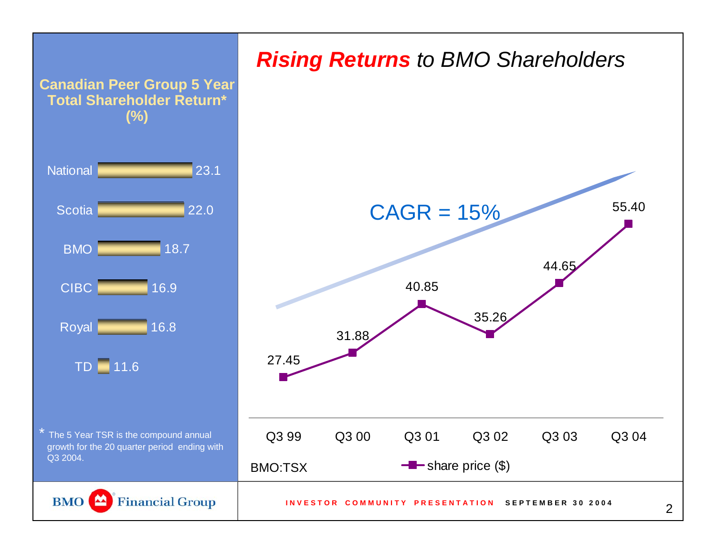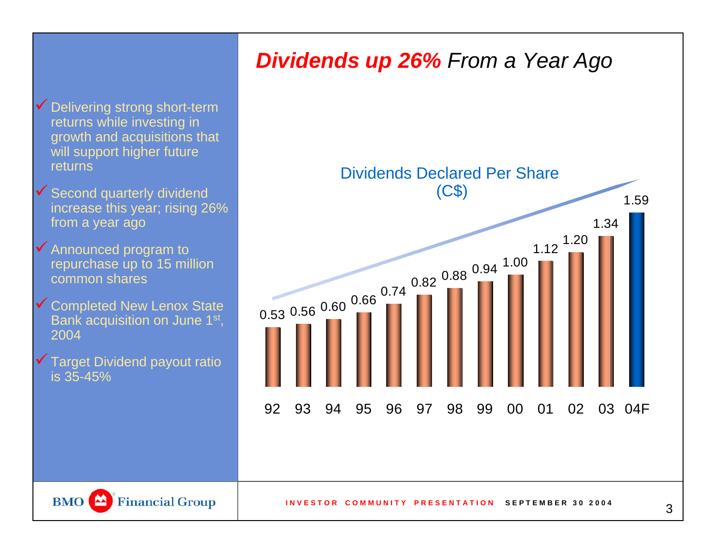### *Dividends up 26% From a Year Ago*

 $\checkmark$  Delivering strong short-term returns while investing in growth and acquisitions that will support higher future returns

- $\checkmark$  Second quarterly dividend increase this year; rising 26% from a year ago
- $\checkmark$  Announced program to repurchase up to 15 million common shares
- Gompleted New Lenox State Bank acquisition on June 1st, 2004
- $\checkmark$  Target Dividend payout ratio is 35-45%

BMO<sup><sup>2</sup></sup>

**Financial Group** 



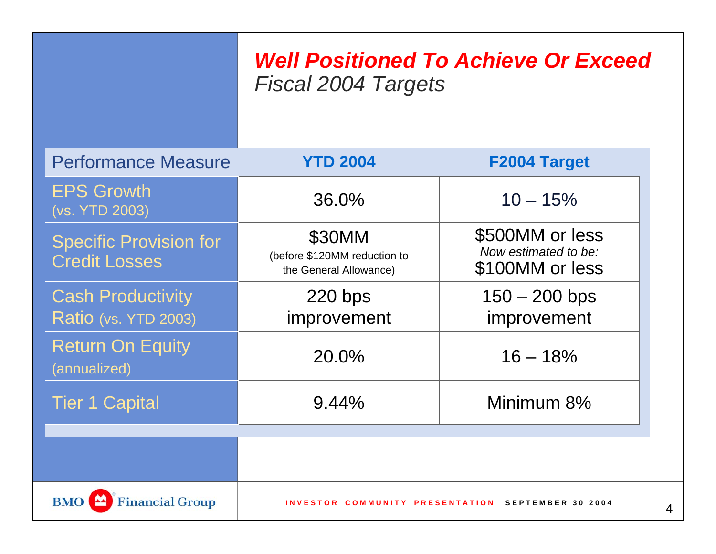### *Well Positioned To Achieve Or Exceed Fiscal 2004 Targets*

| <b>Performance Measure</b>                              | <b>YTD 2004</b>                                                  | F2004 Target                                               |  |  |
|---------------------------------------------------------|------------------------------------------------------------------|------------------------------------------------------------|--|--|
| <b>EPS Growth</b><br>(vs. YTD 2003)                     | $36.0\%$                                                         | $10 - 15%$                                                 |  |  |
| <b>Specific Provision for</b><br><b>Credit Losses</b>   | \$30MM<br>(before \$120MM reduction to<br>the General Allowance) | \$500MM or less<br>Now estimated to be:<br>\$100MM or less |  |  |
| <b>Cash Productivity</b><br><b>Ratio (vs. YTD 2003)</b> | $220$ bps<br>improvement                                         | $150 - 200$ bps<br>improvement                             |  |  |
| <b>Return On Equity</b><br>(annualized)                 | 20.0%                                                            | $16 - 18%$                                                 |  |  |
| <b>Tier 1 Capital</b>                                   | 9.44%                                                            | Minimum 8%                                                 |  |  |
|                                                         |                                                                  |                                                            |  |  |
| <b>Financial Group</b><br><b>BMO</b>                    | INVESTOR COMMUNITY PRESENTATION SEPTEMBER 30 2004                |                                                            |  |  |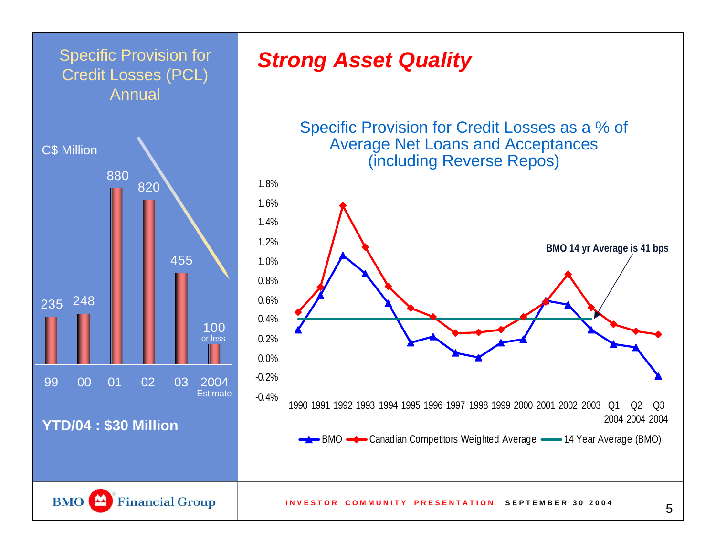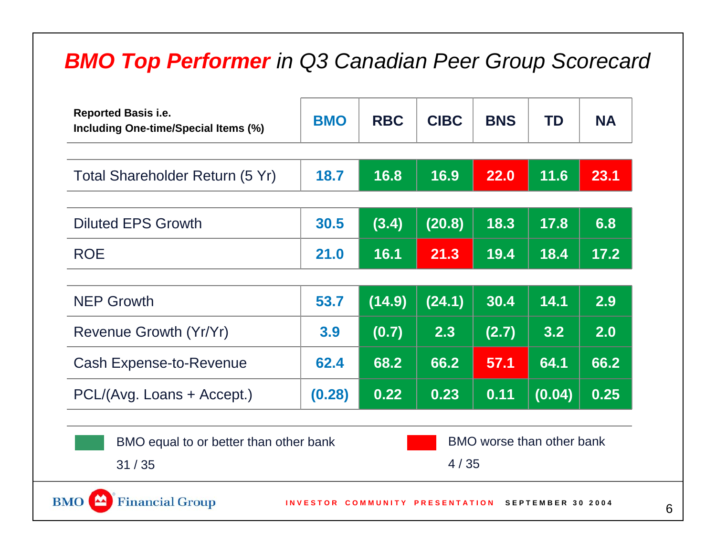## *BMO Top Performer in Q3 Canadian Peer Group Scorecard*

| <b>Reported Basis i.e.</b><br>Including One-time/Special Items (%) | <b>BMO</b> | <b>RBC</b>         | <b>CIBC</b> | <b>BNS</b> | <b>TD</b>                 | <b>NA</b> |
|--------------------------------------------------------------------|------------|--------------------|-------------|------------|---------------------------|-----------|
| Total Shareholder Return (5 Yr)                                    | 18.7       | 16.8               | 16.9        | 22.0       | 11.6                      | 23.1      |
|                                                                    |            |                    |             |            |                           |           |
| <b>Diluted EPS Growth</b>                                          | 30.5       | (3.4)              | (20.8)      | 18.3       | 17.8                      | 6.8       |
| <b>ROE</b>                                                         | 21.0       | 16.1               | 21.3        | 19.4       | 18.4                      | 17.2      |
|                                                                    |            |                    |             |            |                           |           |
| <b>NEP Growth</b>                                                  | 53.7       | (14.9)             | (24.1)      | 30.4       | 14.1                      | 2.9       |
| Revenue Growth (Yr/Yr)                                             | 3.9        | $\overline{(0.7)}$ | 2.3         | (2.7)      | 3.2                       | 2.0       |
| <b>Cash Expense-to-Revenue</b>                                     | 62.4       | 68.2               | 66.2        | 57.1       | 64.1                      | 66.2      |
| PCL/(Avg. Loans + Accept.)                                         | (0.28)     | 0.22               | 0.23        | 0.11       | (0.04)                    | 0.25      |
| BMO equal to or better than other bank                             |            |                    |             |            | BMO worse than other bank |           |
| 31/35                                                              |            | 4/35               |             |            |                           |           |

6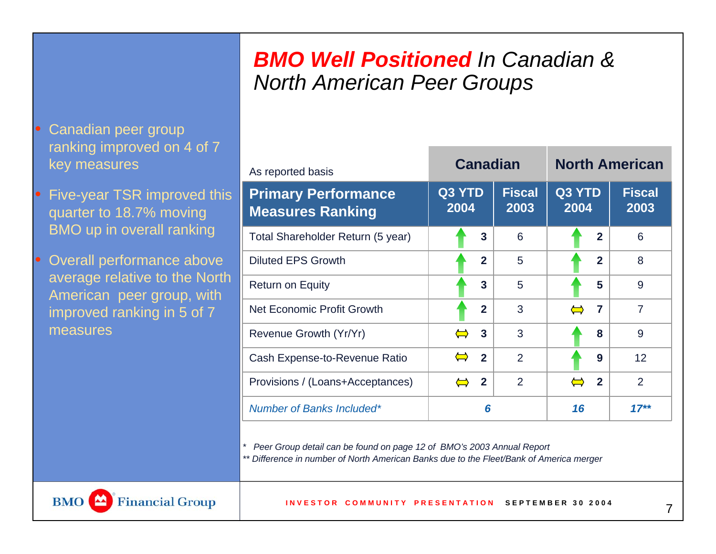#### *BMO Well Positioned In Canadian & North American Peer Groups*

- Canadian peer group ranking improved on 4 of 7 key measures
- Five-year TSR improved this quarter to 18.7% moving BMO up in overall ranking
- Overall performance above average relative to the North American peer group, with improved ranking in 5 of 7 measures

| As reported basis                                     |                                     | <b>Canadian</b>       | <b>North American</b>      |                       |  |
|-------------------------------------------------------|-------------------------------------|-----------------------|----------------------------|-----------------------|--|
| <b>Primary Performance</b><br><b>Measures Ranking</b> | Q3 YTD<br>2004                      | <b>Fiscal</b><br>2003 | Q3 YTD<br>2004             | <b>Fiscal</b><br>2003 |  |
| Total Shareholder Return (5 year)                     |                                     | 3<br>6                | $\overline{2}$             | 6                     |  |
| <b>Diluted EPS Growth</b>                             |                                     | $\overline{2}$<br>5   | $\overline{2}$             | 8                     |  |
| <b>Return on Equity</b>                               |                                     | 3<br>5                | 5                          | 9                     |  |
| <b>Net Economic Profit Growth</b>                     |                                     | $\overline{2}$<br>3   | $\overline{7}$<br>$\equiv$ | 7                     |  |
| Revenue Growth (Yr/Yr)                                | 3<br>$\equiv$                       | 3                     | 8                          | 9                     |  |
| Cash Expense-to-Revenue Ratio                         | $\overline{2}$<br>$\sum$            | 2                     | 9                          | 12                    |  |
| Provisions / (Loans+Acceptances)                      | $\overline{2}$<br>$\Leftrightarrow$ | $\overline{2}$        | $\overline{2}$             | $\overline{2}$        |  |
| <b>Number of Banks Included*</b>                      |                                     | 6                     | 16                         | $17**$                |  |

*\* Peer Group detail can be found on page 12 of BMO's 2003 Annual Report*

*\*\* Difference in number of North American Banks due to the Fleet/Bank of America merger* 



7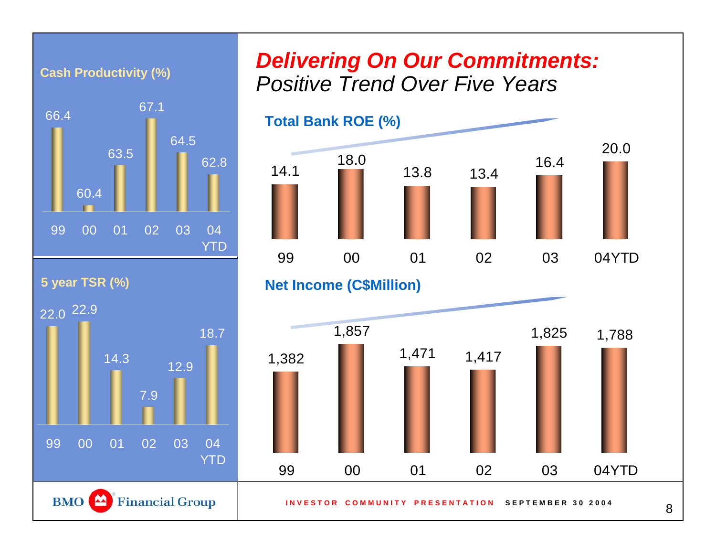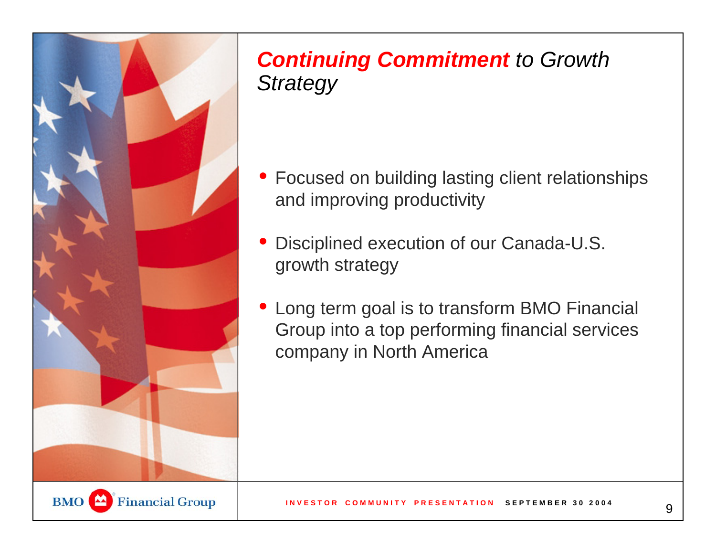

## *Continuing Commitment to Growth Strategy*

- Focused on building lasting client relationships and improving productivity
- • Disciplined execution of our Canada-U.S. growth strategy
- Long term goal is to transform BMO Financial Group into a top performing financial services company in North America

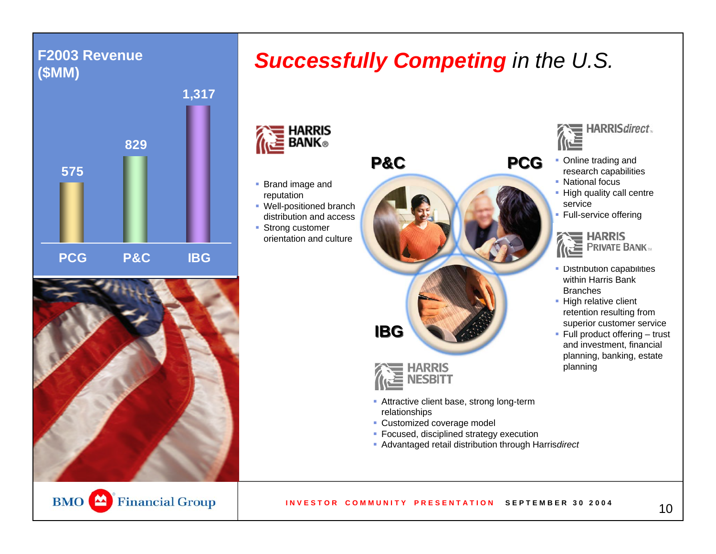#### **F2003 Revenue (\$MM)**





### *Successfully Competing in the U.S.*

**HARRIS** ≧ BANK⊛

- Brand image and reputation
- Well-positioned branch distribution and access
- Strong customer orientation and culture





- Attractive client base, strong long-term relationships
- **Customized coverage model**
- Focused, disciplined strategy execution
- Advantaged retail distribution through Harris*direct*



- **Online trading and** research capabilities
- National focus
- High quality call centre service
- **Full-service offering**



- Distribution capabilities within Harris Bank Branches
- High relative client retention resulting from superior customer service
- Full product offering trust and investment, financial planning, banking, estate planning

**BMO** Financial Group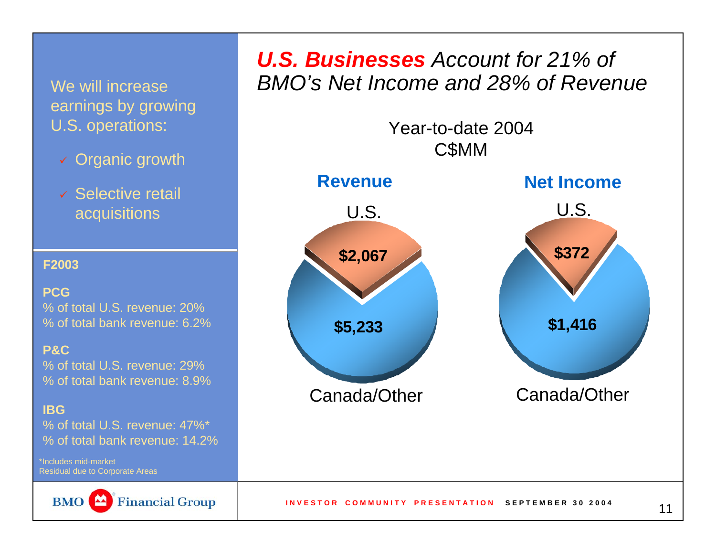earnings by growing U.S. operations:

- 9 Organic growth
- $\checkmark$  Selective retail acquisitions

**F2003**

**PCG**% of total U.S. revenue: 20%

% of total bank revenue: 6.2%

**P&C**

% of total U.S. revenue: 29%% of total bank revenue: 8.9%

**IBG**

% of total U.S. revenue: 47%\*% of total bank revenue: 14.2%

\*Includes mid-marketResidual due to Corporate Areas



#### *U.S. Businesses Account for 21% of*  We will increase *BMO's Net Income and 28% of Revenue*

Year-to-date 2004C\$MM

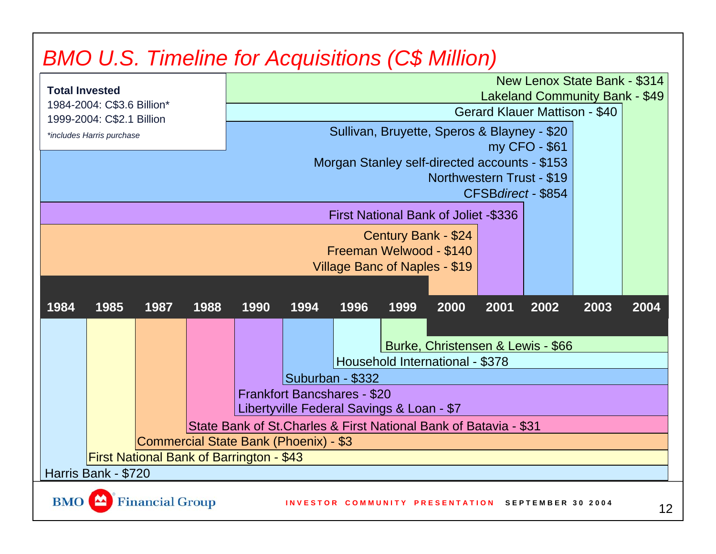# *BMO U.S. Timeline for Acquisitions (C\$ Million)*

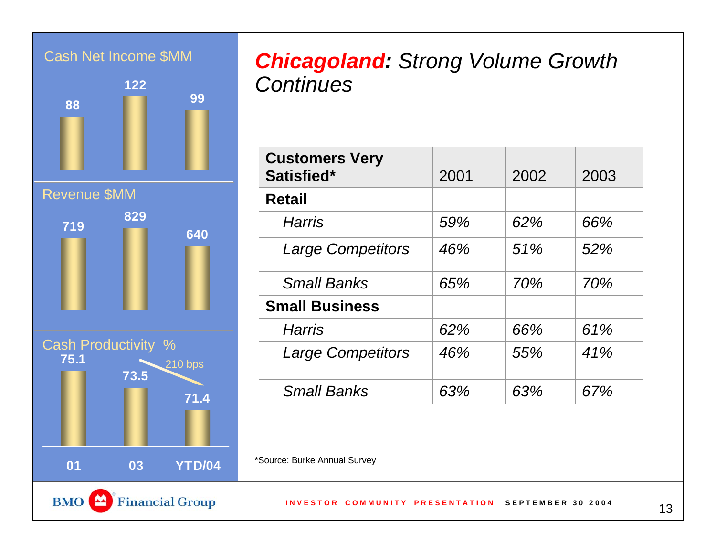

#### *Chicagoland: Strong Volume Growth Continues*

| <b>Customers Very</b><br>Satisfied* | 2001 | 2002 | 2003 |  |  |  |
|-------------------------------------|------|------|------|--|--|--|
| <b>Retail</b>                       |      |      |      |  |  |  |
| Harris                              | 59%  | 62%  | 66%  |  |  |  |
| <b>Large Competitors</b>            | 46%  | 51%  | 52%  |  |  |  |
| <b>Small Banks</b>                  | 65%  | 70%  | 70%  |  |  |  |
| <b>Small Business</b>               |      |      |      |  |  |  |
| <b>Harris</b>                       | 62%  | 66%  | 61%  |  |  |  |
| <b>Large Competitors</b>            | 46%  | 55%  | 41%  |  |  |  |
| <b>Small Banks</b>                  | 63%  | 63%  | 67%  |  |  |  |
| *Source: Burke Annual Survey        |      |      |      |  |  |  |

**INVESTOR COMMUNITY PRESENTATION SEPTEMBER 30 2004**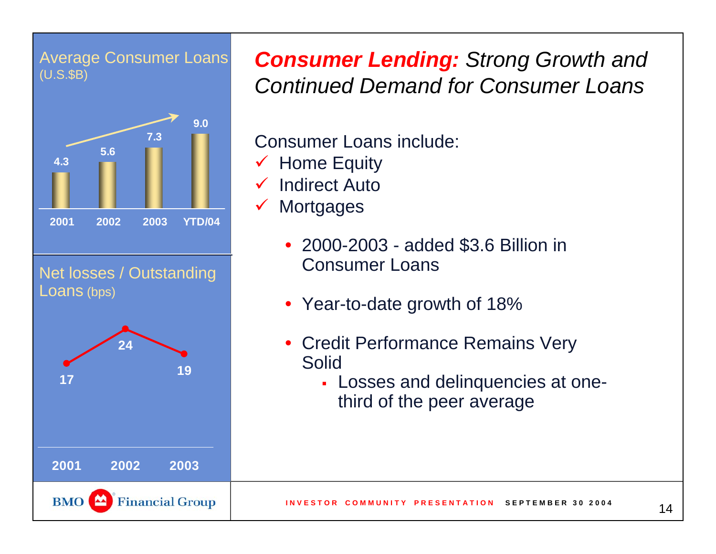

(U.S.\$B) *Consumer Lending: Strong Growth and Continued Demand for Consumer Loans*

Consumer Loans include:

- $\checkmark$  Home Equity
- $\checkmark$ Indirect Auto
- $\checkmark$ **Mortgages** 
	- 2000-2003 added \$3.6 Billion in Consumer Loans
	- Year-to-date growth of 18%
	- Credit Performance Remains Very Solid
		- Losses and delinquencies at onethird of the peer average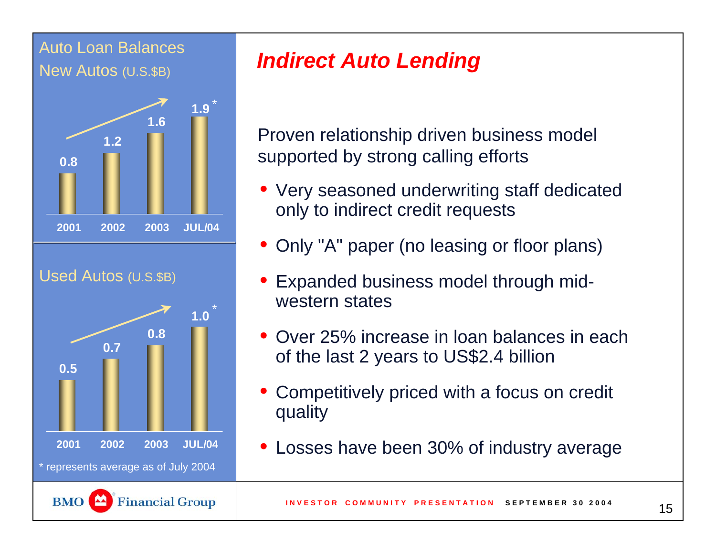

## *Indirect Auto Lending*

Proven relationship driven business model supported by strong calling efforts

- Very seasoned underwriting staff dedicated only to indirect credit requests
- Only "A" paper (no leasing or floor plans)
- • Expanded business model through midwestern states
- • Over 25% increase in loan balances in each of the last 2 years to US\$2.4 billion
- • Competitively priced with a focus on credit quality
- •Losses have been 30% of industry average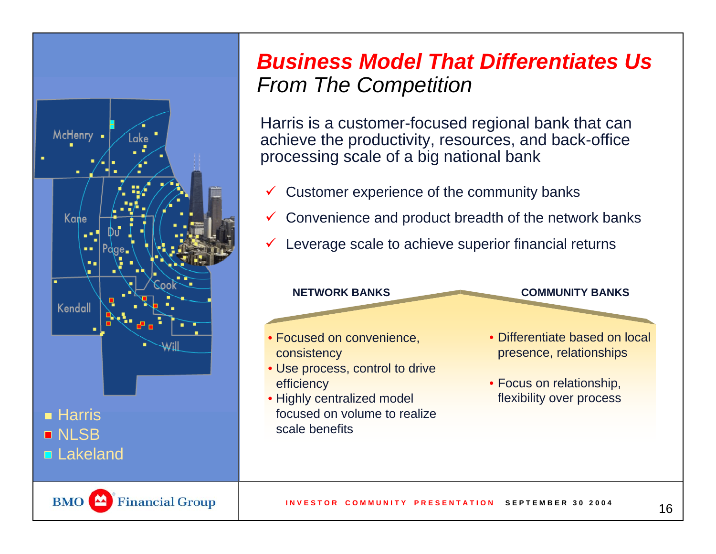

### *Business Model That Differentiates UsFrom The Competition*

Harris is a customer-focused regional bank that can achieve the productivity, resources, and back-office processing scale of a big national bank

- $\checkmark$ Customer experience of the community banks
- $\checkmark$ Convenience and product breadth of the network banks
- $\checkmark$ Leverage scale to achieve superior financial returns

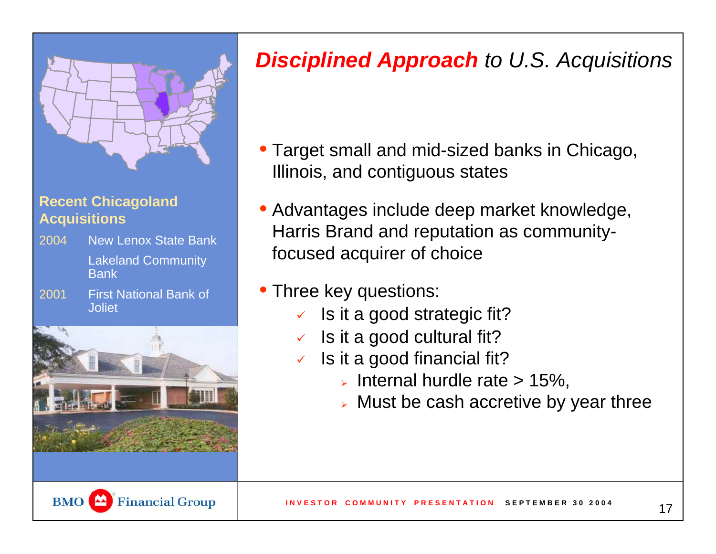

#### **Recent Chicagoland Acquisitions**

- Lakeland Community **Bank** 2004New Lenox State Bank
- First National Bank of Joliet2001



# *Disciplined Approach to U.S. Acquisitions*

- Target small and mid-sized banks in Chicago, Illinois, and contiguous states
- Advantages include deep market knowledge, Harris Brand and reputation as communityfocused acquirer of choice
- Three key questions:
	- $\checkmark$  Is it a good strategic fit?
	- $\sqrt{2}$ Is it a good cultural fit?
	- $\checkmark$  Is it a good financial fit?
		- $\triangleright$  Internal hurdle rate  $> 15\%$ ,
		- $\triangleright$  Must be cash accretive by year three

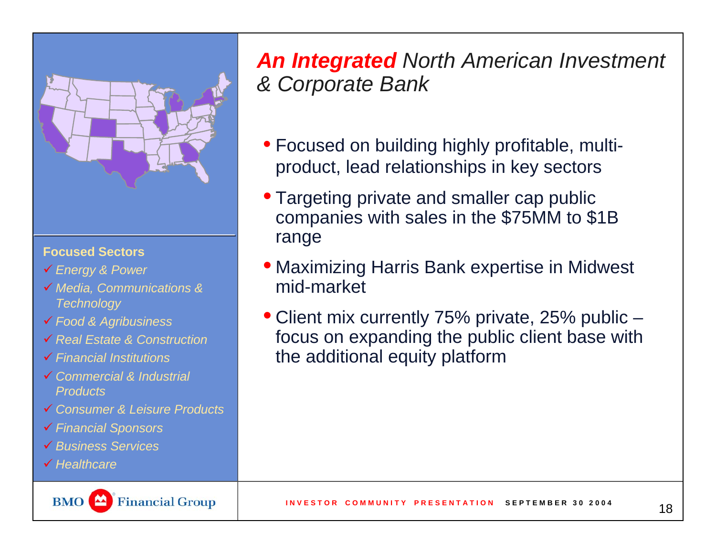

#### **Focused Sectors**

- 9 *Energy & Power*
- 9 *Media, Communications & Technology*
- 9 *Food & Agribusiness*
- 9 *Real Estate & Construction*
- 9 *Financial Institutions*
- 9 *Commercial & Industrial Products*
- 9 *Consumer & Leisure Products*
- 9 *Financial Sponsors*
- 9 *Business Services*
- 9 *Healthcare*



*An Integrated North American Investment & Corporate Bank*

- Focused on building highly profitable, multiproduct, lead relationships in key sectors
- Targeting private and smaller cap public companies with sales in the \$75MM to \$1B range
- Maximizing Harris Bank expertise in Midwest mid-market
- Client mix currently 75% private, 25% public focus on expanding the public client base with the additional equity platform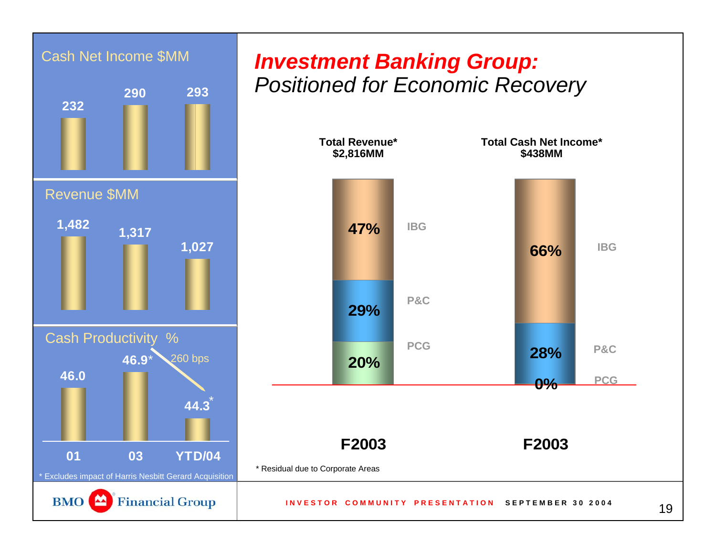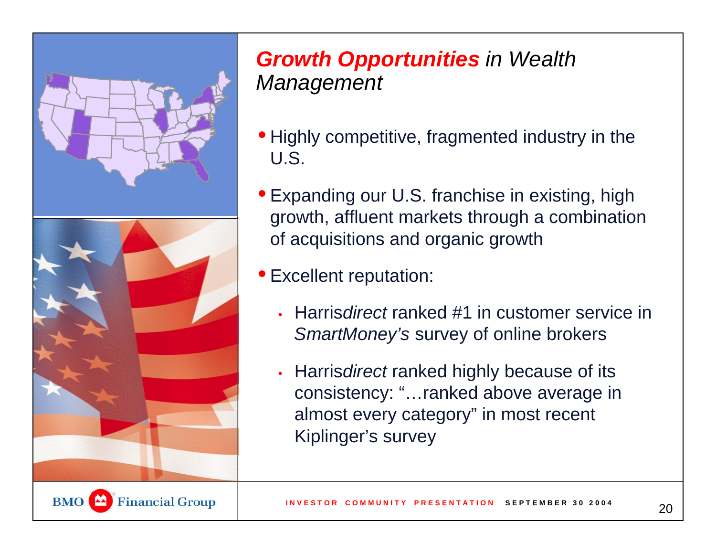

### *Growth Opportunities in Wealth Management*

- Highly competitive, fragmented industry in the U.S.
- Expanding our U.S. franchise in existing, high growth, affluent markets through a combination of acquisitions and organic growth
- Excellent reputation:
	- Harris*direct* ranked #1 in customer service in *SmartMoney's* survey of online brokers
	- Harris*direct* ranked highly because of its consistency: "…ranked above average in almost every category" in most recent Kiplinger's survey

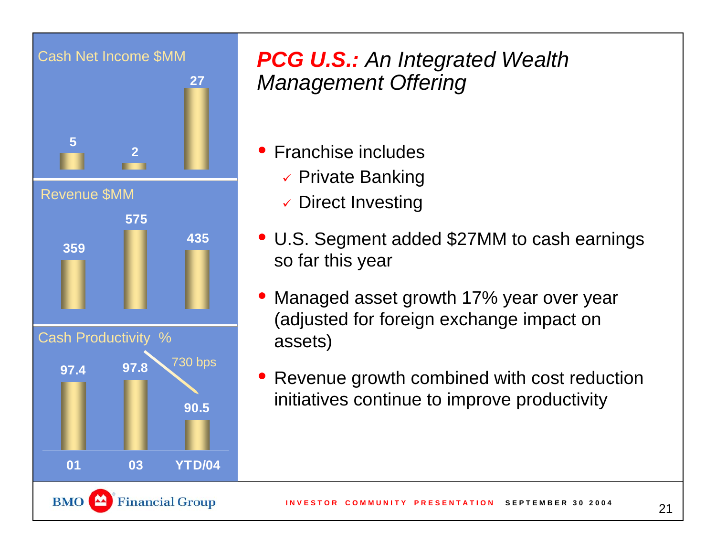

## *PCG U.S.: An Integrated Wealth Management Offering*

- Franchise includes
	- $\checkmark$  Private Banking
	- $\checkmark$  Direct Investing
- U.S. Segment added \$27MM to cash earnings so far this year
- $\bullet$  Managed asset growth 17% year over year (adjusted for foreign exchange impact on assets)
- • Revenue growth combined with cost reduction initiatives continue to improve productivity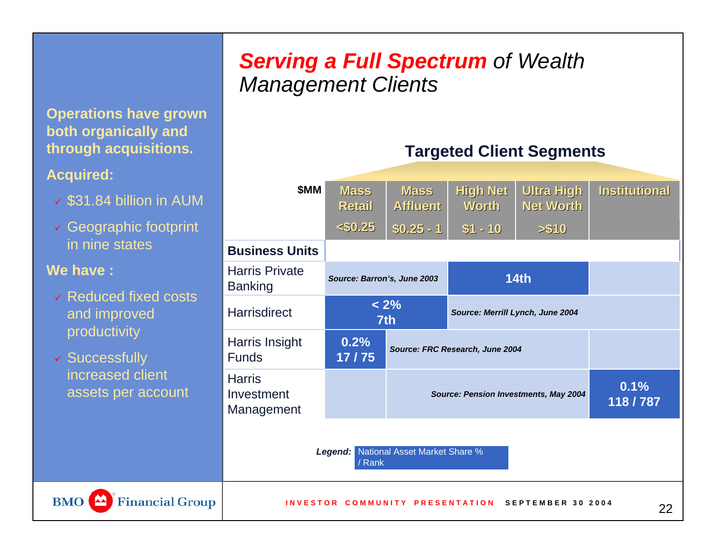#### *Serving a Full Spectrum of Wealth Management Clients*

**Operations have grown both organically and through acquisitions.**

#### **Acquired:**

- $\overline{\smash[b]{3}}$  \$31.84 billion in AUM
- 9 Geographic footprint in nine states

#### **We have :**

**BMO** 

 $\blacksquare$ 

- 9 Reduced fixed costs and improved productivity
- v Successfully increased client assets per account



**Targeted Client Segments**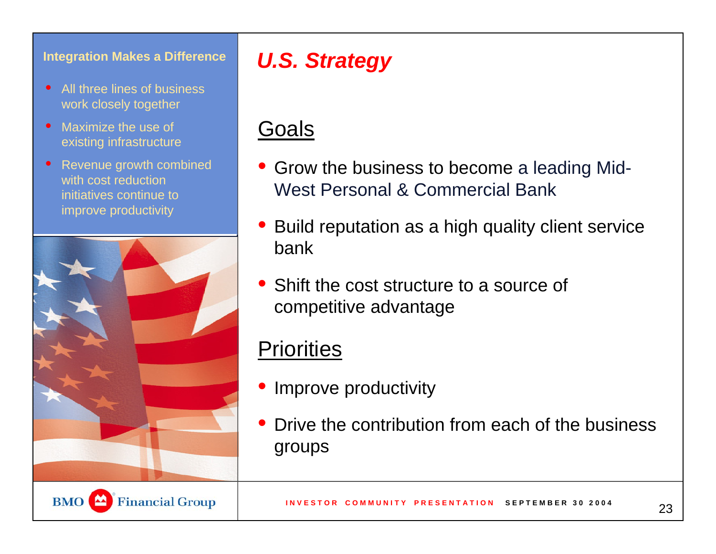#### **Integration Makes a Difference**

- $\bullet$  All three lines of business work closely together
- • Maximize the use of existing infrastructure
- $\bullet$  Revenue growth combined with cost reduction initiatives continue to improve productivity



## *U.S. Strategy*

### Goals

- Grow the business to become a leading Mid-West Personal & Commercial Bank
- Build reputation as a high quality client service bank
- Shift the cost structure to a source of competitive advantage

#### Priorities

- Improve productivity
- $\bullet$  Drive the contribution from each of the business groups